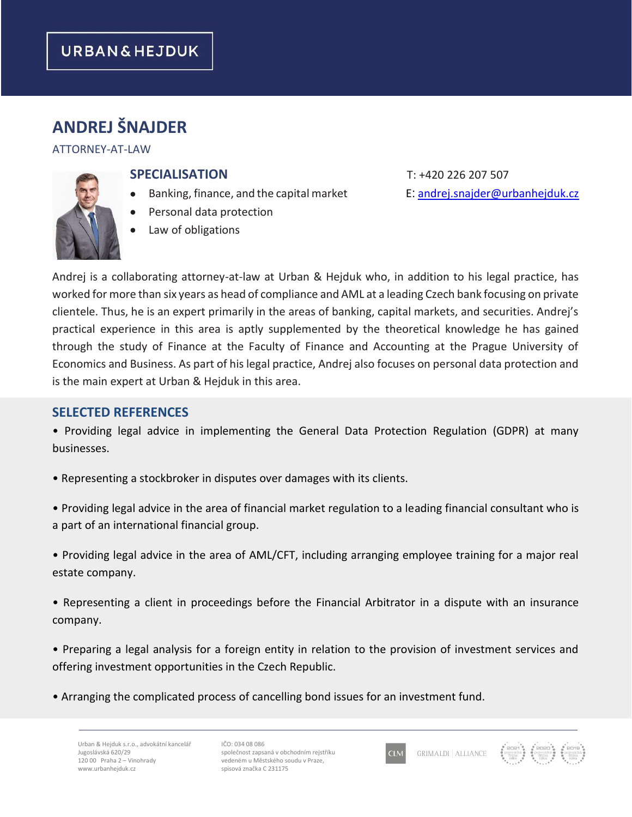# **ANDREJ ŠNAJDER**

#### ATTORNEY-AT-LAW



## **SPECIALISATION** T: +420 226 207 507

- Banking, finance, and the capital market E: [andrej.snajder@urbanhejduk.cz](mailto:andrej.snajder@urbanhejduk.cz)
- Personal data protection
- Law of obligations

Andrej is a collaborating attorney-at-law at Urban & Hejduk who, in addition to his legal practice, has worked for more than six years as head of compliance and AML at a leading Czech bank focusing on private clientele. Thus, he is an expert primarily in the areas of banking, capital markets, and securities. Andrej's practical experience in this area is aptly supplemented by the theoretical knowledge he has gained through the study of Finance at the Faculty of Finance and Accounting at the Prague University of Economics and Business. As part of his legal practice, Andrej also focuses on personal data protection and is the main expert at Urban & Hejduk in this area.

#### **SELECTED REFERENCES**

• Providing legal advice in implementing the General Data Protection Regulation (GDPR) at many businesses.

- Representing a stockbroker in disputes over damages with its clients.
- Providing legal advice in the area of financial market regulation to a leading financial consultant who is a part of an international financial group.
- Providing legal advice in the area of AML/CFT, including arranging employee training for a major real estate company.
- Representing a client in proceedings before the Financial Arbitrator in a dispute with an insurance company.
- Preparing a legal analysis for a foreign entity in relation to the provision of investment services and offering investment opportunities in the Czech Republic.
- Arranging the complicated process of cancelling bond issues for an investment fund.

IČO: 034 08 086 společnost zapsaná v obchodním rejstříku vedeném u Městského soudu v Praze, spisová značka C 231175